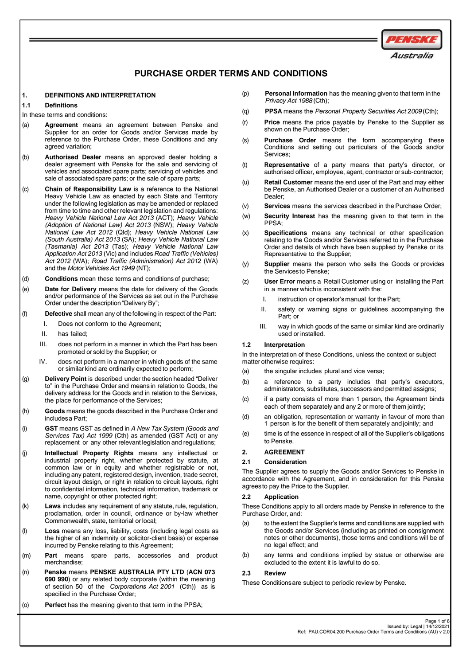

# **PURCHASE ORDER TERMS AND CONDITIONS**

### **1. DEFINITIONS AND INTERPRETATION**

### **1.1 Definitions**

In these terms and conditions:

- (a) **Agreement** means an agreement between Penske and Supplier for an order for Goods and/or Services made by reference to the Purchase Order, these Conditions and any agreed variation;
- (b) **Authorised Dealer** means an approved dealer holding a dealer agreement with Penske for the sale and servicing of vehicles and associated spare parts; servicing of vehicles and sale of associated spare parts; or the sale of spare parts;
- (c) **Chain of Responsibility Law** is a reference to the National Heavy Vehicle Law as enacted by each State and Territory under the following legislation as may be amended or replaced from time to time and other relevant legislation and regulations: *Heavy Vehicle National Law Act 2013* (ACT); *Heavy Vehicle (Adoption of National Law) Act 2013* (NSW); *Heavy Vehicle National Law Act 2012* (Qld); *Heavy Vehicle National Law (South Australia) Act 2013* (SA); *Heavy Vehicle National Law (Tasmania) Act 2013* (Tas); *Heavy Vehicle National Law Application Act 2013* (Vic) and includes*Road Traffic (Vehicles) Act 2012* (WA); *Road Traffic (Administration) Act 2012* (WA) and the *Motor Vehicles Act* 1949 (NT);
- (d) **Conditions** mean these terms and conditions of purchase;
- (e) **Date for Delivery** means the date for delivery of the Goods and/or performance of the Services as set out in the Purchase Order under the description "Delivery By";
- (f) **Defective** shall mean any of thefollowing in respect of the Part:
	- I. Does not conform to the Agreement;
	- II. has failed;
	- III. does not perform in a manner in which the Part has been promoted or sold by the Supplier; or
	- IV. does not perform in a manner in which goods of the same or similar kind are ordinarily expected to perform;
- (g) **Delivery Point** is described under the section headed "Deliver to" in the Purchase Order and means in relation to Goods, the delivery address for the Goods and in relation to the Services, the place for performance of the Services;
- (h) **Goods** means the goods described in the Purchase Order and includesa Part;
- (i) **GST** means GST as defined in *A New Tax System (Goods and Services Tax) Act 1999* (Cth) as amended (GST Act) or any replacement or any other relevant legislation and regulations;
- (j) **Intellectual Property Rights** means any intellectual or industrial property right, whether protected by statute, at common law or in equity and whether registrable or not, including any patent, registered design, invention, trade secret, circuit layout design, or right in relation to circuit layouts, right to confidential information, technical information, trademark or name, copyright or other protected right;
- (k) Laws includes any requirement of any statute, rule, regulation, proclamation, order in council, ordinance or by-law whether Commonwealth, state, territorial or local;
- (l) **Loss** means any loss, liability, costs (including legal costs as the higher of an indemnity or solicitor-client basis) or expense incurred by Penske relating to this Agreement;
- (m) **Part** means spare parts, accessories and product merchandise;
- (n) **Penske** means **PENSKE AUSTRALIA PTY LTD** (**ACN 073 690 990**) or any related body corporate (within the meaning of section 50 of the *Corporations Act 2001* (Cth)) as is specified in the Purchase Order;
- (o) **Perfect** has the meaning given to that term in the PPSA;
- (p) **Personal Information** has the meaning givento that term inthe *Privacy Act 1988* (Cth);
- (q) **PPSA** means the *Personal Property Securities Act 2009* (Cth);
- (r) **Price** means the price payable by Penske to the Supplier as shown on the Purchase Order:
- (s) **Purchase Order** means the form accompanying these Conditions and setting out particulars of the Goods and/or Services;
- (t) **Representative** of a party means that party's director, or authorised officer, employee, agent, contractor or sub-contractor;
- (u) **Retail Customer** means the end user of the Part and may either be Penske, an Authorised Dealer or a customer of an Authorised Dealer;
- (v) **Services** means the services described in the Purchase Order;
- (w) **Security Interest** has the meaning given to that term in the PPSA;
- (x) **Specifications** means any technical or other specification relating to the Goods and/or Services referred to in the Purchase Order and details of which have been supplied by Penske or its Representative to the Supplier;
- (y) **Supplier** means the person who sells the Goods or provides the Servicesto Penske;
- (z) **User Error** means a Retail Customer using or installing the Part in a manner which is inconsistent with the:
	- I. instruction or operator's manual for the Part;
	- II. safety or warning signs or guidelines accompanying the Part; or
	- III. way in which goods of the same or similar kind are ordinarily used or installed.

### **1.2 Interpretation**

In the interpretation of these Conditions, unless the context or subject matter otherwise requires:

- (a) the singular includes plural and vice versa;
- (b) a reference to a party includes that party's executors, administrators, substitutes, successors and permitted assigns;
- (c) if a party consists of more than 1 person, the Agreement binds each of them separately and any 2 or more of them jointly;
- (d) an obligation, representation or warranty in favour of more than 1 person is for the benefit of them separately and jointly; and
- (e) time is of the essence in respect of all of the Supplier's obligations to Penske.

### **2. AGREEMENT**

# **2.1 Consideration**

The Supplier agrees to supply the Goods and/or Services to Penske in accordance with the Agreement, and in consideration for this Penske agreesto pay the Price to the Supplier.

### **2.2 Application**

These Conditions apply to all orders made by Penske in reference to the Purchase Order, and:

- (a) to the extent the Supplier's terms and conditions are supplied with the Goods and/or Services (including as printed on consignment notes or other documents), those terms and conditions will be of no legal effect; and
- (b) any terms and conditions implied by statue or otherwise are excluded to the extent it is lawful to do so.

# **2.3 Review**

These Conditionsare subject to periodic review by Penske.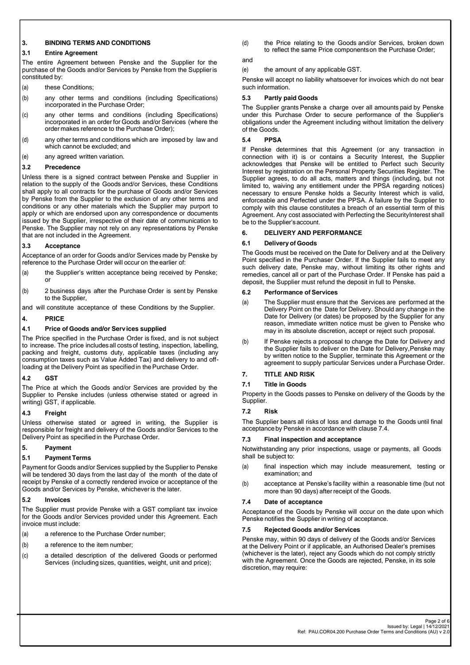### **3. BINDING TERMS AND CONDITIONS**

### **3.1 Entire Agreement**

The entire Agreement between Penske and the Supplier for the purchase of the Goods and/or Services by Penske from the Supplieris constituted by:

- (a) these Conditions:
- (b) any other terms and conditions (including Specifications) incorporated in the Purchase Order;
- (c) any other terms and conditions (including Specifications) incorporated in an order for Goods and/or Services (where the order makes reference to the Purchase Order);
- (d) any other terms and conditions which are imposed by law and which cannot be excluded; and
- (e) any agreed written variation.

# **3.2 Precedence**

Unless there is a signed contract between Penske and Supplier in relation to the supply of the Goods and/or Services, these Conditions shall apply to all contracts for the purchase of Goods and/or Services by Penske from the Supplier to the exclusion of any other terms and conditions or any other materials which the Supplier may purport to apply or which are endorsed upon any correspondence or documents issued by the Supplier, irrespective of their date of communication to Penske. The Supplier may not rely on any representations by Penske that are not included in the Agreement.

# **3.3 Acceptance**

Acceptance of an order for Goods and/or Services made by Penske by reference to the Purchase Order will occur on the earlier of:

- (a) the Supplier's written acceptance being received by Penske; or
- (b) 2 business days after the Purchase Order is sent by Penske to the Supplier,

and will constitute acceptance of these Conditions by the Supplier.

# **4. PRICE**

### **4.1 Price of Goods and/or Services supplied**

The Price specified in the Purchase Order is fixed, and is not subject to increase. The price includesall costsof testing, inspection, labelling, packing and freight, customs duty, applicable taxes (including any consumption taxes such as Value Added Tax) and delivery to and offloading at the Delivery Point as specified in the Purchase Order.

# **4.2 GST**

The Price at which the Goods and/or Services are provided by the Supplier to Penske includes (unless otherwise stated or agreed in writing) GST, if applicable.

# **4.3 Freight**

Unless otherwise stated or agreed in writing, the Supplier is responsible for freight and delivery of the Goods and/or Services to the Delivery Point as specified in the Purchase Order.

# **5. Payment**

# **5.1 Payment Terms**

Payment for Goods and/or Services supplied by the Supplier to Penske will be tendered 30 days from the last day of the month of the date of receipt by Penske of a correctly rendered invoice or acceptance of the Goods and/or Services by Penske, whichever is the later.

# **5.2 Invoices**

The Supplier must provide Penske with a GST compliant tax invoice for the Goods and/or Services provided under this Agreement. Each invoice must include:

- (a) a reference to the Purchase Order number;
- (b) a reference to the item number;
- (c) a detailed description of the delivered Goods or performed Services (including sizes, quantities, weight, unit and price);

(d) the Price relating to the Goods and/or Services, broken down to reflect the same Price componentson the Purchase Order;

# and

(e) the amount of any applicable GST.

Penske will accept no liability whatsoever for invoices which do not bear such information.

# **5.3 Partly paid Goods**

The Supplier grants Penske a charge over all amounts paid by Penske under this Purchase Order to secure performance of the Supplier's obligations under the Agreement including without limitation the delivery of the Goods.

### **5.4 PPSA**

If Penske determines that this Agreement (or any transaction in connection with it) is or contains a Security Interest, the Supplier acknowledges that Penske will be entitled to Perfect such Security Interest by registration on the Personal Property Securities Register. The Supplier agrees, to do all acts, matters and things (including, but not limited to, waiving any entitlement under the PPSA regarding notices) necessary to ensure Penske holds a Security Interest which is valid, enforceable and Perfected under the PPSA. A failure by the Supplier to comply with this clause constitutes a breach of an essential term of this Agreement. Any cost associated with Perfecting the SecurityInterest shall be to the Supplier'saccount.

### **6. DELIVERY AND PERFORMANCE**

### **6.1 Delivery of Goods**

The Goods must be received on the Date for Delivery and at the Delivery Point specified in the Purchaser Order. If the Supplier fails to meet any such delivery date, Penske may, without limiting its other rights and remedies, cancel all or part of the Purchase Order. If Penske has paid a deposit, the Supplier must refund the deposit in full to Penske.

### **6.2 Performance of Services**

- (a) The Supplier must ensure that the Services are performed at the Delivery Point on the Date for Delivery. Should any change in the Date for Delivery (or dates) be proposed by the Supplier for any reason, immediate written notice must be given to Penske who may in its absolute discretion, accept or reject such proposal.
- (b) If Penske rejects a proposal to change the Date for Delivery and the Supplier fails to deliver on the Date for Delivery,Penske may by written notice to the Supplier, terminate this Agreement or the agreement to supply particular Services under a Purchase Order.

# **7. TITLE AND RISK**

# **7.1 Title in Goods**

Property in the Goods passes to Penske on delivery of the Goods by the Supplier.

# **7.2 Risk**

The Supplier bears all risks of loss and damage to the Goods until final acceptance by Penske in accordance with clause [7.4.](#page-1-0)

# **7.3 Final inspection and acceptance**

Notwithstanding any prior inspections, usage or payments, all Goods shall be subject to:

- (a) final inspection which may include measurement, testing or examination; and
- (b) acceptance at Penske's facility within a reasonable time (but not more than 90 days) afterreceipt of the Goods.

### <span id="page-1-0"></span>**7.4 Date of acceptance**

Acceptance of the Goods by Penske will occur on the date upon which Penske notifies the Supplier in writing of acceptance.

### **7.5 Rejected Goods and/or Services**

Penske may, within 90 days of delivery of the Goods and/or Services at the Delivery Point or if applicable, an Authorised Dealer's premises (whichever is the later), reject any Goods which do not comply strictly with the Agreement. Once the Goods are rejected, Penske, in its sole discretion, may require: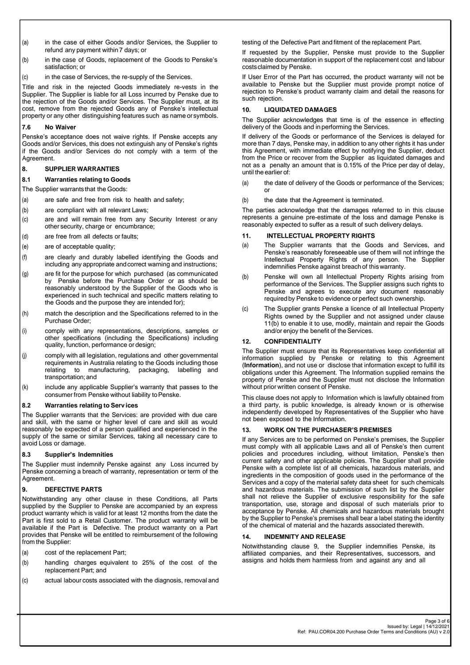- (a) in the case of either Goods and/or Services, the Supplier to refund any payment within 7 days; or
- (b) in the case of Goods, replacement of the Goods to Penske's satisfaction; or
- (c) in the case of Services, the re-supply of the Services.

Title and risk in the rejected Goods immediately re-vests in the Supplier. The Supplier is liable for all Loss incurred by Penske due to the rejection of the Goods and/or Services. The Supplier must, at its cost, remove from the rejected Goods any of Penske's intellectual property or any other distinguishing features such as name or symbols.

# **7.6 No Waiver**

Penske's acceptance does not waive rights. If Penske accepts any Goods and/or Services, this does not extinguish any of Penske's rights if the Goods and/or Services do not comply with a term of the Agreement.

# **8. SUPPLIER WARRANTIES**

# **8.1 Warranties relating to Goods**

- The Supplier warrants that the Goods:
- (a) are safe and free from risk to health and safety;
- (b) are compliant with all relevant Laws;
- (c) are and will remain free from any Security Interest or any other security, charge or encumbrance;
- (d) are free from all defects or faults;
- (e) are of acceptable quality;
- (f) are clearly and durably labelled identifying the Goods and including any appropriate andcorrect warning and instructions;
- (g) are fit for the purpose for which purchased (as communicated by Penske before the Purchase Order or as should be reasonably understood by the Supplier of the Goods who is experienced in such technical and specific matters relating to the Goods and the purpose they are intended for);
- (h) match the description and the Specifications referred to in the Purchase Order;
- (i) comply with any representations, descriptions, samples or other specifications (including the Specifications) including quality, function, performance or design;
- (j) comply with all legislation, regulations and other governmental requirements in Australia relating to the Goods including those relating to manufacturing, packaging, labelling and transportation; and
- (k) include any applicable Supplier's warranty that passes to the consumer from Penske without liability to Penske.

# **8.2 Warranties relating to Serv ices**

The Supplier warrants that the Services: are provided with due care and skill, with the same or higher level of care and skill as would reasonably be expected of a person qualified and experienced in the supply of the same or similar Services, taking all necessary care to avoid Loss or damage.

# **8.3 Supplier's Indemnities**

The Supplier must indemnify Penske against any Loss incurred by Penske concerning a breach of warranty, representation or term of the Agreement.

# <span id="page-2-0"></span>**9. DEFECTIVE PARTS**

Notwithstanding any other clause in these Conditions, all Parts supplied by the Supplier to Penske are accompanied by an express product warranty which is valid for at least 12 months from the date the Part is first sold to a Retail Customer. The product warranty will be available if the Part is Defective. The product warranty on a Part provides that Penske will be entitled to reimbursement of the following from the Supplier:

- (a) cost of the replacement Part;
- (b) handling charges equivalent to 25% of the cost of the replacement Part; and
- (c) actual labour costs associated with the diagnosis, removal and

testing of the Defective Part and fitment of the replacement Part.

If requested by the Supplier, Penske must provide to the Supplier reasonable documentation in support of the replacement cost and labour costsclaimed by Penske.

If User Error of the Part has occurred, the product warranty will not be available to Penske but the Supplier must provide prompt notice of rejection to Penske's product warranty claim and detail the reasons for such rejection.

# **10. LIQUIDATED DAMAGES**

The Supplier acknowledges that time is of the essence in effecting delivery of the Goods and in performing the Services.

If delivery of the Goods or performance of the Services is delayed for more than 7 days, Penske may, in addition to any other rights it has under this Agreement, with immediate effect by notifying the Supplier, deduct from the Price or recover from the Supplier as liquidated damages and not as a penalty an amount that is 0.15% of the Price per day of delay, until the earlier of:

- (a) the date of delivery of the Goods or performance of the Services; or
- (b) the date that the Agreement is terminated.

The parties acknowledge that the damages referred to in this clause represents a genuine pre-estimate of the loss and damage Penske is reasonably expected to suffer as a result of such delivery delays.

# <span id="page-2-1"></span>**11. INTELLECTUAL PROPERTY RIGHTS**

- (a) The Supplier warrants that the Goods and Services, and Penske's reasonably foreseeable use of them will not infringe the Intellectual Property Rights of any person. The Supplier indemnifies Penske against breach of this warranty.
- (b) Penske will own all Intellectual Property Rights arising from performance of the Services. The Supplier assigns such rights to Penske and agrees to execute any document reasonably required by Penske to evidence or perfect such ownership.
- (c) The Supplier grants Penske a licence of all Intellectual Property Rights owned by the Supplier and not assigned under clause 11(b) to enable it to use, modify, maintain and repair the Goods and/or enjoy the benefit of the Services.

# **12. CONFIDENTIALITY**

The Supplier must ensure that its Representatives keep confidential all information supplied by Penske or relating to this Agreement (**Information**), and not use or disclose that information except to fulfill its obligations under this Agreement. The Information supplied remains the property of Penske and the Supplier must not disclose the Information without prior written consent of Penske.

This clause does not apply to Information which is lawfully obtained from a third party, is public knowledge, is already known or is otherwise independently developed by Representatives of the Supplier who have not been exposed to the Information.

# **13. WORK ON THE PURCHASER'S PREMISES**

If any Services are to be performed on Penske's premises, the Supplier must comply with all applicable Laws and all of Penske's then current policies and procedures including, without limitation, Penske's then current safety and other applicable policies. The Supplier shall provide Penske with a complete list of all chemicals, hazardous materials, and ingredients in the composition of goods used in the performance of the Services and a copy of the material safety data sheet for such chemicals and hazardous materials. The submission of such list by the Supplier shall not relieve the Supplier of exclusive responsibility for the safe transportation, use, storage and disposal of such materials prior to acceptance by Penske. All chemicals and hazardous materials brought by the Supplier to Penske's premises shall bear a label stating the identity of the chemical of material and the hazards associated therewith.

# **14. INDEMNITY AND RELEASE**

Notwithstanding clause [9,](#page-2-0) the Supplier indemnifies Penske, its affiliated companies, and their Representatives, successors, and assigns and holds them harmless from and against any and all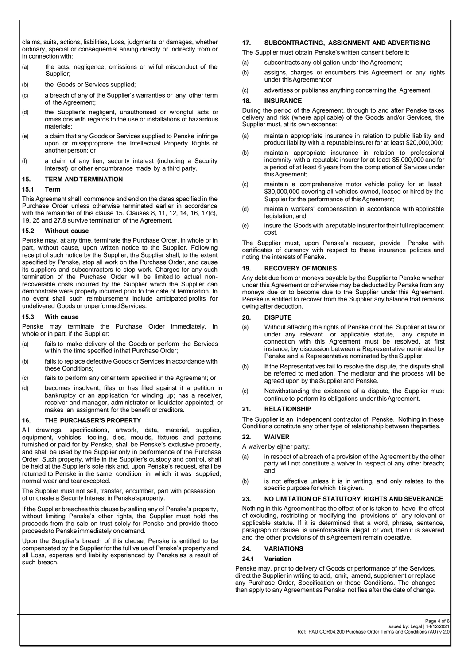claims, suits, actions, liabilities, Loss, judgments or damages, whether ordinary, special or consequential arising directly or indirectly from or in connection with:

- (a) the acts, negligence, omissions or wilful misconduct of the Supplier;
- (b) the Goods or Services supplied;
- (c) a breach of any of the Supplier's warranties or any other term of the Agreement;
- (d) the Supplier's negligent, unauthorised or wrongful acts or omissions with regards to the use or installations of hazardous materials;
- (e) a claim that any Goods or Services supplied to Penske infringe upon or misappropriate the Intellectual Property Rights of another person; or
- (f) a claim of any lien, security interest (including a Security Interest) or other encumbrance made by a third party.

# **15. TERM AND TERMINATION**

# **15.1 Term**

This Agreement shall commence and end on the dates specified in the Purchase Order unless otherwise terminated earlier in accordance with the remainder of this clause 15. Clauses 8, [11,](#page-2-1) 12, 14, 16, 17(c), 19, 25 and 27.8 survive termination of the Agreement.

### **15.2 Without cause**

Penske may, at any time, terminate the Purchase Order, in whole or in part, without cause, upon written notice to the Supplier. Following receipt of such notice by the Supplier, the Supplier shall, to the extent specified by Penske, stop all work on the Purchase Order, and cause its suppliers and subcontractors to stop work. Charges for any such termination of the Purchase Order will be limited to actual nonrecoverable costs incurred by the Supplier which the Supplier can demonstrate were properly incurred prior to the date of termination. In no event shall such reimbursement include anticipated profits for undelivered Goods or unperformed Services.

### **15.3 With cause**

Penske may terminate the Purchase Order immediately, in whole or in part, if the Supplier:

- (a) fails to make delivery of the Goods or perform the Services within the time specified in that Purchase Order;
- (b) fails to replace defective Goods or Services in accordance with these Conditions;
- (c) fails to perform any other term specified in the Agreement; or
- (d) becomes insolvent; files or has filed against it a petition in bankruptcy or an application for winding up; has a receiver, receiver and manager, administrator or liquidator appointed; or makes an assignment for the benefit or creditors.

# **16. THE PURCHASER'S PROPERTY**

All drawings, specifications, artwork, data, material, supplies, equipment, vehicles, tooling, dies, moulds, fixtures and patterns furnished or paid for by Penske, shall be Penske's exclusive property, and shall be used by the Supplier only in performance of the Purchase Order. Such property, while in the Supplier's custody and control, shall be held at the Supplier's sole risk and, upon Penske's request, shall be returned to Penske in the same condition in which it was supplied, normal wear and tear excepted.

The Supplier must not sell, transfer, encumber, part with possession of or create a Security Interest in Penske'sproperty.

If the Supplier breaches this clause by selling any of Penske's property, without limiting Penske's other rights, the Supplier must hold the proceeds from the sale on trust solely for Penske and provide those proceedsto Penske immediately on demand.

Upon the Supplier's breach of this clause, Penske is entitled to be compensated by the Supplier for the full value of Penske's property and all Loss, expense and liability experienced by Penske as a result of such breach.

# **17. SUBCONTRACTING, ASSIGNMENT AND ADVERTISING**

- The Supplier must obtain Penske'swritten consent before it:
- (a) subcontracts any obligation under the Agreement;
- (b) assigns, charges or encumbers this Agreement or any rights under thisAgreement;or
- (c) advertises or publishes anything concerning the Agreement.

### **18. INSURANCE**

During the period of the Agreement, through to and after Penske takes delivery and risk (where applicable) of the Goods and/or Services, the Supplier must, at its own expense:

- (a) maintain appropriate insurance in relation to public liability and product liability with a reputable insurer for at least \$20,000,000;
- (b) maintain appropriate insurance in relation to professional indemnity with a reputable insurer for at least \$5,000,000 and for a period of at least 6 years from the completion of Servicesunder thisAgreement;
- (c) maintain a comprehensive motor vehicle policy for at least \$30,000,000 covering all vehicles owned, leased or hired by the Supplier for the performance of this Agreement;
- (d) maintain workers' compensation in accordance with applicable legislation; and
- (e) insure the Goodswith a reputable insurer for their full replacement cost.

The Supplier must, upon Penske's request, provide Penske with certificates of currency with respect to these insurance policies and noting the interests of Penske.

### **19. RECOVERY OF MONIES**

Any debt due from or moneys payable by the Supplier to Penske whether under this Agreement or otherwise may be deducted by Penske from any moneys due or to become due to the Supplier under this Agreement. Penske is entitled to recover from the Supplier any balance that remains owing after deduction.

### **20. DISPUTE**

- (a) Without affecting the rights of Penske or of the Supplier at law or under any relevant or applicable statute, any dispute in connection with this Agreement must be resolved, at first instance, by discussion between a Representative nominated by Penske and a Representative nominated by the Supplier.
- (b) If the Representatives fail to resolve the dispute, the dispute shall be referred to mediation. The mediator and the process will be agreed upon by the Supplier and Penske.
- (c) Notwithstanding the existence of a dispute, the Supplier must continue to perform its obligations under this Agreement.

# **21. RELATIONSHIP**

The Supplier is an independent contractor of Penske. Nothing in these Conditions constitute any other type of relationship between the parties.

# **22. WAIVER**

A waiver by either party:

- (a) in respect of a breach of a provision of the Agreement by the other party will not constitute a waiver in respect of any other breach; and
- (b) is not effective unless it is in writing, and only relates to the specific purpose for which it isgiven.

# **23. NO LIMITATION OF STATUTORY RIGHTS AND SEVERANCE**

Nothing in this Agreement has the effect of or is taken to have the effect of excluding, restricting or modifying the provisions of any relevant or applicable statute. If it is determined that a word, phrase, sentence, paragraph or clause is unenforceable, illegal or void, then it is severed and the other provisions of thisAgreement remain operative.

### **24. VARIATIONS**

### **24.1 Variation**

Penske may, prior to delivery of Goods or performance of the Services, direct the Supplier in writing to add, omit, amend, supplement or replace any Purchase Order, Specification or these Conditions. The changes then apply to any Agreement as Penske notifies after the date of change.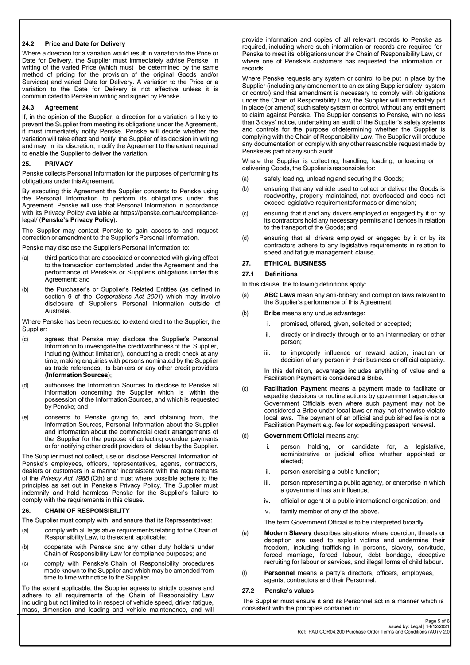### **24.2 Price and Date for Delivery**

Where a direction for a variation would result in variation to the Price or Date for Delivery, the Supplier must immediately advise Penske in writing of the varied Price (which must be determined by the same method of pricing for the provision of the original Goods and/or Services) and varied Date for Delivery. A variation to the Price or a variation to the Date for Delivery is not effective unless it is communicated to Penske in writing and signed by Penske.

### **24.3 Agreement**

If, in the opinion of the Supplier, a direction for a variation is likely to prevent the Supplier from meeting its obligations under the Agreement, it must immediately notify Penske. Penske will decide whether the variation will take effect and notify the Supplier of its decision in writing and may, in its discretion, modify the Agreement to the extent required to enable the Supplier to deliver the variation.

#### **25. PRIVACY**

Penske collects Personal Information for the purposes of performing its obligations under thisAgreement.

By executing this Agreement the Supplier consents to Penske using the Personal Information to perform its obligations under this Agreement. Penske will use that Personal Information in accordance with its Privacy Policy available at https://penske.com.au/compliancelegal/ (**Penske's Privacy Policy**).

The Supplier may contact Penske to gain access to and request correction or amendment to the Supplier's Personal Information.

Penske may disclose the Supplier's Personal Information to:

- (a) third parties that are associated or connected with giving effect to the transaction contemplated under the Agreement and the performance of Penske's or Supplier's obligations under this Agreement; and
- (b) the Purchaser's or Supplier's Related Entities (as defined in section 9 of the *Corporations Act 2001*) which may involve disclosure of Supplier's Personal Information outside of Australia.

Where Penske has been requested to extend credit to the Supplier, the Supplier:

- (c) agrees that Penske may disclose the Supplier's Personal Information to investigate the creditworthiness of the Supplier, including (without limitation), conducting a credit check at any time, making enquiries with persons nominated by the Supplier as trade references, its bankers or any other credit providers (**Information Sources**);
- (d) authorises the Information Sources to disclose to Penske all information concerning the Supplier which is within the possession of the Information Sources, and which is requested by Penske; and
- (e) consents to Penske giving to, and obtaining from, the Information Sources, Personal Information about the Supplier and information about the commercial credit arrangements of the Supplier for the purpose of collecting overdue payments or for notifying other credit providers of default by the Supplier.

The Supplier must not collect, use or disclose Personal Information of Penske's employees, officers, representatives, agents, contractors, dealers or customers in a manner inconsistent with the requirements of the *Privacy Act 1988* (Cth) and must where possible adhere to the principles as set out in Penske's Privacy Policy. The Supplier must indemnify and hold harmless Penske for the Supplier's failure to comply with the requirements in this clause.

# **26. CHAIN OF RESPONSIBILITY**

The Supplier must comply with, and ensure that its Representatives:

- (a) comply with all legislative requirements relating to the Chain of Responsibility Law, to the extent applicable;
- (b) cooperate with Penske and any other duty holders under Chain of Responsibility Law for compliance purposes; and
- (c) comply with Penske's Chain of Responsibility procedures made known to the Supplier and which may be amended from time to time with notice to the Supplier.

To the extent applicable, the Supplier agrees to strictly observe and adhere to all requirements of the Chain of Responsibility Law including but not limited to in respect of vehicle speed, driver fatigue, mass, dimension and loading and vehicle maintenance, and will

provide information and copies of all relevant records to Penske as required, including where such information or records are required for Penske to meet its obligationsunder the Chain of Responsibility Law, or where one of Penske's customers has requested the information or records.

Where Penske requests any system or control to be put in place by the Supplier (including any amendment to an existing Supplier safety system or control) and that amendment is necessary to comply with obligations under the Chain of Responsibility Law, the Supplier will immediately put in place (or amend) such safety system or control, without any entitlement to claim against Penske. The Supplier consents to Penske, with no less than 3 days' notice, undertaking an audit of the Supplier's safety systems and controls for the purpose of determining whether the Supplier is complying with the Chain of Responsibility Law. The Supplier will produce any documentation or comply with any otherreasonable request made by Penske as part of any such audit.

Where the Supplier is collecting, handling, loading, unloading or delivering Goods, the Supplier is responsible for:

- (a) safely loading, unloading and securing the Goods;
- (b) ensuring that any vehicle used to collect or deliver the Goods is roadworthy, properly maintained, not overloaded and does not exceed legislative requirementsfor mass or dimension;
- (c) ensuring that it and any drivers employed or engaged by it or by its contractors hold any necessary permits and licences in relation to the transport of the Goods; and
- (d) ensuring that all drivers employed or engaged by it or by its contractors adhere to any legislative requirements in relation to speed and fatigue management clause.

### **27. ETHICAL BUSINESS**

#### **27.1 Definitions**

In this clause, the following definitions apply:

- (a) **ABC Laws** mean any anti-bribery and corruption laws relevant to the Supplier's performance of this Agreement.
- (b) **Bribe** means any undue advantage:
	- i. promised, offered, given, solicited or accepted;
	- ii. directly or indirectly through or to an intermediary or other person;
	- iii. to improperly influence or reward action, inaction or decision of any person in their business or official capacity.

In this definition, advantage includes anything of value and a Facilitation Payment is considered a Bribe.

- (c) **Facilitation Payment** means a payment made to facilitate or expedite decisions or routine actions by government agencies or Government Officials even where such payment may not be considered a Bribe under local laws or may not otherwise violate local laws. The payment of an official and published fee is not a Facilitation Payment e.g. fee for expediting passport renewal.
- (d) **Government Official** means any:
	- i. person holding, or candidate for, a legislative, administrative or judicial office whether appointed or elected;
	- ii. person exercising a public function;
	- iii. person representing a public agency, or enterprise in which a government has an influence;
	- iv. official or agent of a public international organisation; and
	- v. family member of any of the above.
	- The term Government Official is to be interpreted broadly.
- (e) **Modern Slavery** describes situations where coercion, threats or deception are used to exploit victims and undermine their freedom, including trafficking in persons, slavery, servitude, forced marriage, forced labour, debt bondage, deceptive recruiting for labour or services, and illegal forms of child labour.
- (f) **Personnel** means a party's directors, officers, employees, agents, contractors and their Personnel.

#### **27.2 Penske's values**

The Supplier must ensure it and its Personnel act in a manner which is consistent with the principles contained in: